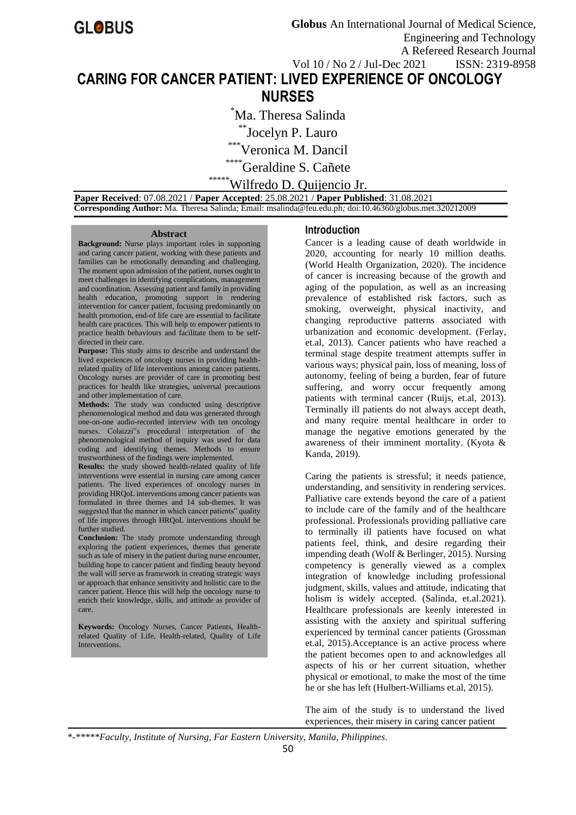# **CARING FOR CANCER PATIENT: LIVED EXPERIENCE OF ONCOLOGY NURSES**

\*Ma. Theresa Salinda

\*\*Jocelyn P. Lauro

\*\*\*Veronica M. Dancil

\*Geraldine S. Cañete

\*\*Wilfredo D. Quijencio Jr.

 **Paper Received**: 07.08.2021 / **Paper Accepted**: 25.08.2021 / **Paper Published**: 31.08.2021  **Corresponding Author:** Ma. Theresa Salinda; Email: msalinda@feu.edu.ph*;* doi:10.46360/globus.met.320212009

#### **Abstract**

**Background:** Nurse plays important roles in supporting and caring cancer patient, working with these patients and families can be emotionally demanding and challenging. The moment upon admission of the patient, nurses ought to meet challenges in identifying complications, management and coordination. Assessing patient and family in providing health education, promoting support in rendering intervention for cancer patient, focusing predominantly on health promotion, end-of life care are essential to facilitate health care practices. This will help to empower patients to practice health behaviours and facilitate them to be selfdirected in their care.

**Purpose:** This study aims to describe and understand the lived experiences of oncology nurses in providing healthrelated quality of life interventions among cancer patients. Oncology nurses are provider of care in promoting best practices for health like strategies, universal precautions and other implementation of care.

**Methods:** The study was conducted using descriptive phenomenological method and data was generated through one-on-one audio-recorded interview with ten oncology nurses. Colaizzi"s procedural interpretation of the phenomenological method of inquiry was used for data coding and identifying themes. Methods to ensure trustworthiness of the findings were implemented.

**Results:** the study showed health-related quality of life interventions were essential in nursing care among cancer patients. The lived experiences of oncology nurses in providing HRQoL interventions among cancer patients was formulated in three themes and 14 sub-themes. It was suggested that the manner in which cancer patients" quality of life improves through HRQoL interventions should be further studied.

**Conclusion:** The study promote understanding through exploring the patient experiences, themes that generate such as tale of misery in the patient during nurse encounter, building hope to cancer patient and finding beauty beyond the wall will serve as framework in creating strategic ways or approach that enhance sensitivity and holistic care to the cancer patient. Hence this will help the oncology nurse to enrich their knowledge, skills, and attitude as provider of care.

**Keywords:** Oncology Nurses, Cancer Patients, Healthrelated Quality of Life, Health-related, Quality of Life Interventions.

## **Introduction**

Cancer is a leading cause of death worldwide in 2020, accounting for nearly 10 million deaths. (World Health Organization, 2020). The incidence of cancer is increasing because of the growth and aging of the population, as well as an increasing prevalence of established risk factors, such as smoking, overweight, physical inactivity, and changing reproductive patterns associated with urbanization and economic development. (Ferlay, et.al, 2013). Cancer patients who have reached a terminal stage despite treatment attempts suffer in various ways; physical pain, loss of meaning, loss of autonomy, feeling of being a burden, fear of future suffering, and worry occur frequently among patients with terminal cancer (Ruijs, et.al, 2013). Terminally ill patients do not always accept death, and many require mental healthcare in order to manage the negative emotions generated by the awareness of their imminent mortality. (Kyota & Kanda, 2019).

Caring the patients is stressful; it needs patience, understanding, and sensitivity in rendering services. Palliative care extends beyond the care of a patient to include care of the family and of the healthcare professional. Professionals providing palliative care to terminally ill patients have focused on what patients feel, think, and desire regarding their impending death (Wolf & Berlinger, 2015). Nursing competency is generally viewed as a complex integration of knowledge including professional judgment, skills, values and attitude, indicating that holism is widely accepted. (Salinda, et.al.2021). Healthcare professionals are keenly interested in assisting with the anxiety and spiritual suffering experienced by terminal cancer patients (Grossman et.al, 2015).Acceptance is an active process where the patient becomes open to and acknowledges all aspects of his or her current situation, whether physical or emotional, to make the most of the time he or she has left (Hulbert-Williams et.al, 2015).

The aim of the study is to understand the lived experiences, their misery in caring cancer patient

*\*-\*\*\*\*\*Faculty, Institute of Nursing, Far Eastern University, Manila, Philippines.*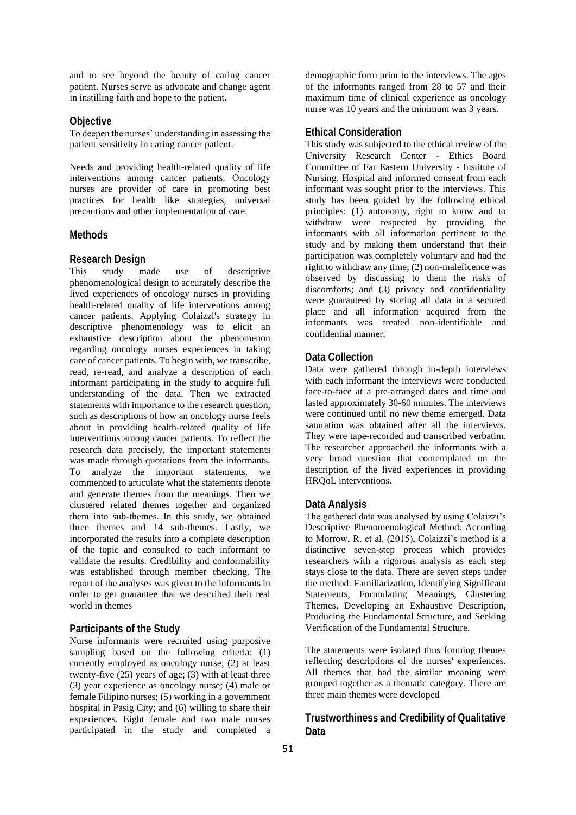and to see beyond the beauty of caring cancer patient. Nurses serve as advocate and change agent in instilling faith and hope to the patient.

## **Objective**

To deepen the nurses' understanding in assessing the patient sensitivity in caring cancer patient.

Needs and providing health-related quality of life interventions among cancer patients. Oncology nurses are provider of care in promoting best practices for health like strategies, universal precautions and other implementation of care.

## **Methods**

## **Research Design**

This study made use of descriptive phenomenological design to accurately describe the lived experiences of oncology nurses in providing health-related quality of life interventions among cancer patients. Applying Colaizzi's strategy in descriptive phenomenology was to elicit an exhaustive description about the phenomenon regarding oncology nurses experiences in taking care of cancer patients. To begin with, we transcribe, read, re-read, and analyze a description of each informant participating in the study to acquire full understanding of the data. Then we extracted statements with importance to the research question, such as descriptions of how an oncology nurse feels about in providing health-related quality of life interventions among cancer patients. To reflect the research data precisely, the important statements was made through quotations from the informants. To analyze the important statements, we commenced to articulate what the statements denote and generate themes from the meanings. Then we clustered related themes together and organized them into sub-themes. In this study, we obtained three themes and 14 sub-themes. Lastly, we incorporated the results into a complete description of the topic and consulted to each informant to validate the results. Credibility and conformability was established through member checking. The report of the analyses was given to the informants in order to get guarantee that we described their real world in themes

## **Participants of the Study**

Nurse informants were recruited using purposive sampling based on the following criteria: (1) currently employed as oncology nurse; (2) at least twenty-five (25) years of age; (3) with at least three (3) year experience as oncology nurse; (4) male or female Filipino nurses; (5) working in a government hospital in Pasig City; and (6) willing to share their experiences. Eight female and two male nurses participated in the study and completed a

demographic form prior to the interviews. The ages of the informants ranged from 28 to 57 and their maximum time of clinical experience as oncology nurse was 10 years and the minimum was 3 years.

## **Ethical Consideration**

This study was subjected to the ethical review of the University Research Center - Ethics Board Committee of Far Eastern University - Institute of Nursing. Hospital and informed consent from each informant was sought prior to the interviews. This study has been guided by the following ethical principles: (1) autonomy, right to know and to withdraw were respected by providing the informants with all information pertinent to the study and by making them understand that their participation was completely voluntary and had the right to withdraw any time; (2) non-maleficence was observed by discussing to them the risks of discomforts; and (3) privacy and confidentiality were guaranteed by storing all data in a secured place and all information acquired from the informants was treated non-identifiable and confidential manner.

## **Data Collection**

Data were gathered through in-depth interviews with each informant the interviews were conducted face-to-face at a pre-arranged dates and time and lasted approximately 30-60 minutes. The interviews were continued until no new theme emerged. Data saturation was obtained after all the interviews. They were tape-recorded and transcribed verbatim. The researcher approached the informants with a very broad question that contemplated on the description of the lived experiences in providing HRQoL interventions.

### **Data Analysis**

The gathered data was analysed by using Colaizzi's Descriptive Phenomenological Method. According to Morrow, R. et al. (2015), Colaizzi's method is a distinctive seven-step process which provides researchers with a rigorous analysis as each step stays close to the data. There are seven steps under the method: Familiarization, Identifying Significant Statements, Formulating Meanings, Clustering Themes, Developing an Exhaustive Description, Producing the Fundamental Structure, and Seeking Verification of the Fundamental Structure.

The statements were isolated thus forming themes reflecting descriptions of the nurses' experiences. All themes that had the similar meaning were grouped together as a thematic category. There are three main themes were developed

# **Trustworthiness and Credibility of Qualitative Data**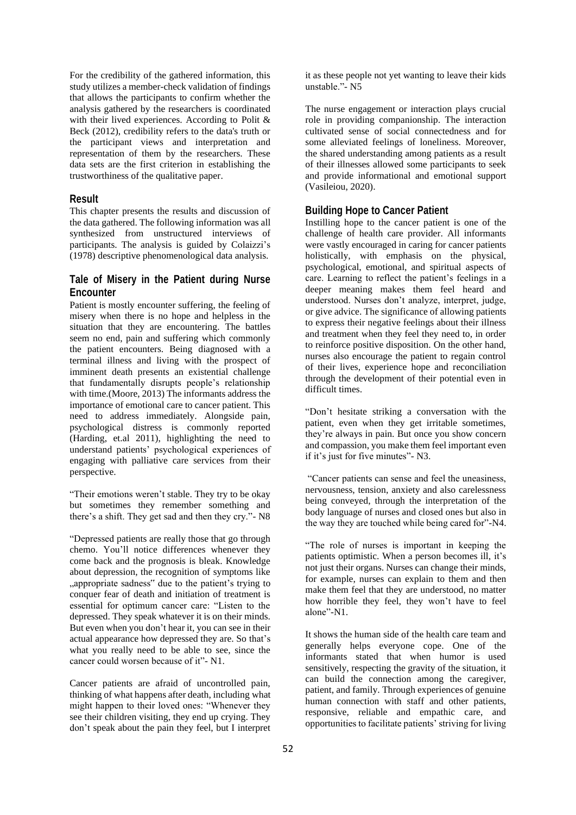For the credibility of the gathered information, this study utilizes a member-check validation of findings that allows the participants to confirm whether the analysis gathered by the researchers is coordinated with their lived experiences. According to Polit & Beck (2012), credibility refers to the data's truth or the participant views and interpretation and representation of them by the researchers. These data sets are the first criterion in establishing the trustworthiness of the qualitative paper.

## **Result**

This chapter presents the results and discussion of the data gathered. The following information was all synthesized from unstructured interviews of participants. The analysis is guided by Colaizzi's (1978) descriptive phenomenological data analysis.

# **Tale of Misery in the Patient during Nurse Encounter**

Patient is mostly encounter suffering, the feeling of misery when there is no hope and helpless in the situation that they are encountering. The battles seem no end, pain and suffering which commonly the patient encounters. Being diagnosed with a terminal illness and living with the prospect of imminent death presents an existential challenge that fundamentally disrupts people's relationship with time.(Moore, 2013) The informants address the importance of emotional care to cancer patient. This need to address immediately. Alongside pain, psychological distress is commonly reported (Harding, et.al 2011), highlighting the need to understand patients' psychological experiences of engaging with palliative care services from their perspective.

"Their emotions weren't stable. They try to be okay but sometimes they remember something and there's a shift. They get sad and then they cry."- N8

"Depressed patients are really those that go through chemo. You'll notice differences whenever they come back and the prognosis is bleak. Knowledge about depression, the recognition of symptoms like "appropriate sadness" due to the patient's trying to conquer fear of death and initiation of treatment is essential for optimum cancer care: "Listen to the depressed. They speak whatever it is on their minds. But even when you don't hear it, you can see in their actual appearance how depressed they are. So that's what you really need to be able to see, since the cancer could worsen because of it"- N1.

Cancer patients are afraid of uncontrolled pain, thinking of what happens after death, including what might happen to their loved ones: "Whenever they see their children visiting, they end up crying. They don't speak about the pain they feel, but I interpret it as these people not yet wanting to leave their kids unstable."- N5

The nurse engagement or interaction plays crucial role in providing companionship. The interaction cultivated sense of social connectedness and for some alleviated feelings of loneliness. Moreover, the shared understanding among patients as a result of their illnesses allowed some participants to seek and provide informational and emotional support (Vasileiou, 2020).

## **Building Hope to Cancer Patient**

Instilling hope to the cancer patient is one of the challenge of health care provider. All informants were vastly encouraged in caring for cancer patients holistically, with emphasis on the physical, psychological, emotional, and spiritual aspects of care. Learning to reflect the patient's feelings in a deeper meaning makes them feel heard and understood. Nurses don't analyze, interpret, judge, or give advice. The significance of allowing patients to express their negative feelings about their illness and treatment when they feel they need to, in order to reinforce positive disposition. On the other hand, nurses also encourage the patient to regain control of their lives, experience hope and reconciliation through the development of their potential even in difficult times.

"Don't hesitate striking a conversation with the patient, even when they get irritable sometimes, they're always in pain. But once you show concern and compassion, you make them feel important even if it's just for five minutes"- N3.

"Cancer patients can sense and feel the uneasiness, nervousness, tension, anxiety and also carelessness being conveyed, through the interpretation of the body language of nurses and closed ones but also in the way they are touched while being cared for"-N4.

"The role of nurses is important in keeping the patients optimistic. When a person becomes ill, it's not just their organs. Nurses can change their minds, for example, nurses can explain to them and then make them feel that they are understood, no matter how horrible they feel, they won't have to feel alone"-N1.

It shows the human side of the health care team and generally helps everyone cope. One of the informants stated that when humor is used sensitively, respecting the gravity of the situation, it can build the connection among the caregiver, patient, and family. Through experiences of genuine human connection with staff and other patients, responsive, reliable and empathic care, and opportunities to facilitate patients' striving for living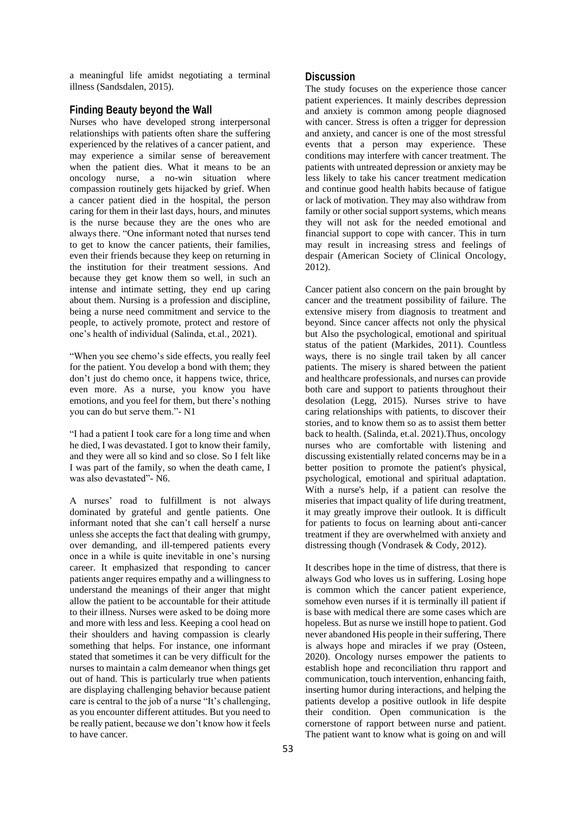a meaningful life amidst negotiating a terminal illness (Sandsdalen, 2015).

## **Finding Beauty beyond the Wall**

Nurses who have developed strong interpersonal relationships with patients often share the suffering experienced by the relatives of a cancer patient, and may experience a similar sense of bereavement when the patient dies. What it means to be an oncology nurse, a no-win situation where compassion routinely gets hijacked by grief. When a cancer patient died in the hospital, the person caring for them in their last days, hours, and minutes is the nurse because they are the ones who are always there. "One informant noted that nurses tend to get to know the cancer patients, their families, even their friends because they keep on returning in the institution for their treatment sessions. And because they get know them so well, in such an intense and intimate setting, they end up caring about them. Nursing is a profession and discipline, being a nurse need commitment and service to the people, to actively promote, protect and restore of one's health of individual (Salinda, et.al., 2021).

"When you see chemo's side effects, you really feel for the patient. You develop a bond with them; they don't just do chemo once, it happens twice, thrice, even more. As a nurse, you know you have emotions, and you feel for them, but there's nothing you can do but serve them."- N1

"I had a patient I took care for a long time and when he died, I was devastated. I got to know their family, and they were all so kind and so close. So I felt like I was part of the family, so when the death came, I was also devastated"- N6.

A nurses' road to fulfillment is not always dominated by grateful and gentle patients. One informant noted that she can't call herself a nurse unless she accepts the fact that dealing with grumpy, over demanding, and ill-tempered patients every once in a while is quite inevitable in one's nursing career. It emphasized that responding to cancer patients anger requires empathy and a willingness to understand the meanings of their anger that might allow the patient to be accountable for their attitude to their illness. Nurses were asked to be doing more and more with less and less. Keeping a cool head on their shoulders and having compassion is clearly something that helps. For instance, one informant stated that sometimes it can be very difficult for the nurses to maintain a calm demeanor when things get out of hand. This is particularly true when patients are displaying challenging behavior because patient care is central to the job of a nurse "It's challenging, as you encounter different attitudes. But you need to be really patient, because we don't know how it feels to have cancer.

## **Discussion**

The study focuses on the experience those cancer patient experiences. It mainly describes depression and anxiety is common among people diagnosed with cancer. Stress is often a trigger for depression and anxiety, and cancer is one of the most stressful events that a person may experience. These conditions may interfere with cancer treatment. The patients with untreated depression or anxiety may be less likely to take his cancer treatment medication and continue good health habits because of fatigue or lack of motivation. They may also withdraw from family or other social support systems, which means they will not ask for the needed emotional and financial support to cope with cancer. This in turn may result in increasing stress and feelings of despair (American Society of Clinical Oncology, 2012).

Cancer patient also concern on the pain brought by cancer and the treatment possibility of failure. The extensive misery from diagnosis to treatment and beyond. Since cancer affects not only the physical but Also the psychological, emotional and spiritual status of the patient (Markides, 2011). Countless ways, there is no single trail taken by all cancer patients. The misery is shared between the patient and healthcare professionals, and nurses can provide both care and support to patients throughout their desolation (Legg, 2015). Nurses strive to have caring relationships with patients, to discover their stories, and to know them so as to assist them better back to health. (Salinda, et.al. 2021).Thus, oncology nurses who are comfortable with listening and discussing existentially related concerns may be in a better position to promote the patient's physical, psychological, emotional and spiritual adaptation. With a nurse's help, if a patient can resolve the miseries that impact quality of life during treatment, it may greatly improve their outlook. It is difficult for patients to focus on learning about anti-cancer treatment if they are overwhelmed with anxiety and distressing though (Vondrasek & Cody, 2012).

It describes hope in the time of distress, that there is always God who loves us in suffering. Losing hope is common which the cancer patient experience, somehow even nurses if it is terminally ill patient if is base with medical there are some cases which are hopeless. But as nurse we instill hope to patient. God never abandoned His people in their suffering, There is always hope and miracles if we pray (Osteen, 2020). Oncology nurses empower the patients to establish hope and reconciliation thru rapport and communication, touch intervention, enhancing faith, inserting humor during interactions, and helping the patients develop a positive outlook in life despite their condition. Open communication is the cornerstone of rapport between nurse and patient. The patient want to know what is going on and will